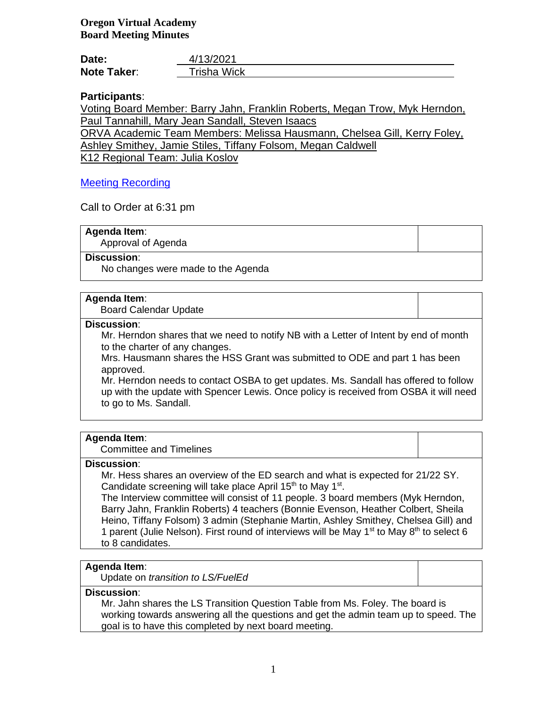**Oregon Virtual Academy Board Meeting Minutes**

| Date:              | 4/13/2021          |
|--------------------|--------------------|
| <b>Note Taker:</b> | <b>Trisha Wick</b> |

# **Participants**:

Voting Board Member: Barry Jahn, Franklin Roberts, Megan Trow, Myk Herndon, Paul Tannahill, Mary Jean Sandall, Steven Isaacs

ORVA Academic Team Members: Melissa Hausmann, Chelsea Gill, Kerry Foley, Ashley Smithey, Jamie Stiles, Tiffany Folsom, Megan Caldwell

K12 Regional Team: Julia Koslov

# [Meeting Recording](https://k12inc-my.sharepoint.com/:v:/g/personal/mecaldwell_oregonva_org/Ecqsxlhj5MtNslBZsmXqZS0BX7NzFfyGtwUTBEhUWRp1aw)

Call to Order at 6:31 pm

## **Agenda Item**:

Approval of Agenda

# **Discussion**:

No changes were made to the Agenda

#### **Agenda Item**:

Board Calendar Update

#### **Discussion**:

Mr. Herndon shares that we need to notify NB with a Letter of Intent by end of month to the charter of any changes.

Mrs. Hausmann shares the HSS Grant was submitted to ODE and part 1 has been approved.

Mr. Herndon needs to contact OSBA to get updates. Ms. Sandall has offered to follow up with the update with Spencer Lewis. Once policy is received from OSBA it will need to go to Ms. Sandall.

#### **Agenda Item**:

Committee and Timelines

#### **Discussion**:

Mr. Hess shares an overview of the ED search and what is expected for 21/22 SY. Candidate screening will take place April 15<sup>th</sup> to May 1<sup>st</sup>.

The Interview committee will consist of 11 people. 3 board members (Myk Herndon, Barry Jahn, Franklin Roberts) 4 teachers (Bonnie Evenson, Heather Colbert, Sheila Heino, Tiffany Folsom) 3 admin (Stephanie Martin, Ashley Smithey, Chelsea Gill) and 1 parent (Julie Nelson). First round of interviews will be May  $1<sup>st</sup>$  to May  $8<sup>th</sup>$  to select 6 to 8 candidates.

# **Agenda Item**:

Update on *transition to LS/FuelEd*

## **Discussion**:

Mr. Jahn shares the LS Transition Question Table from Ms. Foley. The board is working towards answering all the questions and get the admin team up to speed. The goal is to have this completed by next board meeting.